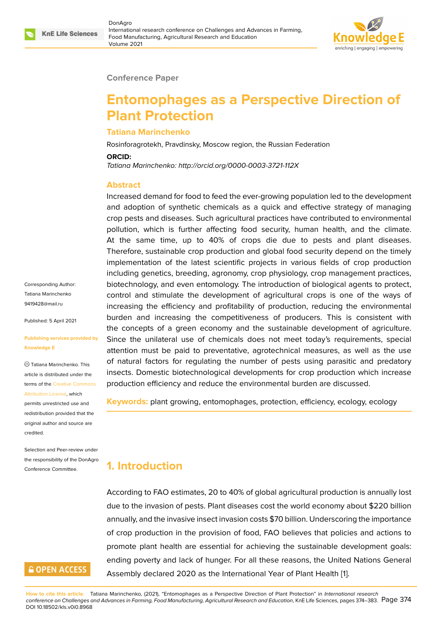

#### **Conference Paper**

# **Entomophages as a Perspective Direction of Plant Protection**

#### **Tatiana Marinchenko**

Rosinforagrotekh, Pravdinsky, Moscow region, the Russian Federation

**ORCID:**

*Tatiana Marinchenko: http://orcid.org/0000-0003-3721-112X*

#### **Abstract**

Increased demand for food to feed the ever-growing population led to the development and adoption of synthetic chemicals as a quick and effective strategy of managing crop pests and diseases. Such agricultural practices have contributed to environmental pollution, which is further affecting food security, human health, and the climate. At the same time, up to 40% of crops die due to pests and plant diseases. Therefore, sustainable crop production and global food security depend on the timely implementation of the latest scientific projects in various fields of crop production including genetics, breeding, agronomy, crop physiology, crop management practices, biotechnology, and even entomology. The introduction of biological agents to protect, control and stimulate the development of agricultural crops is one of the ways of increasing the efficiency and profitability of production, reducing the environmental burden and increasing the competitiveness of producers. This is consistent with the concepts of a green economy and the sustainable development of agriculture. Since the unilateral use of chemicals does not meet today's requirements, special attention must be paid to preventative, agrotechnical measures, as well as the use of natural factors for regulating the number of pests using parasitic and predatory insects. Domestic biotechnological developments for crop production which increase production efficiency and reduce the environmental burden are discussed.

**Keywords:** plant growing, entomophages, protection, efficiency, ecology, ecology

# **1. Introduction**

According to FAO estimates, 20 to 40% of global agricultural production is annually lost due to the invasion of pests. Plant diseases cost the world economy about \$220 billion annually, and the invasive insect invasion costs \$70 billion. Underscoring the importance of crop production in the provision of food, FAO believes that policies and actions to promote plant health are essential for achieving the sustainable development goals: ending poverty and lack of hunger. For all these reasons, the United Nations General Assembly declared 2020 as the International Year of Plant Health [1].

Corresponding Author: Tatiana Marinchenko 9419428@mail.ru

Published: 5 April 2021

#### **[Publishing servic](mailto:9419428@mail.ru)es provided by Knowledge E**

Tatiana Marinchenko. This article is distributed under the terms of the Creative Commons Attribution License, which

permits unrestricted use and redistribution provided that the original auth[or and source are](https://creativecommons.org/licenses/by/4.0/) [credited.](https://creativecommons.org/licenses/by/4.0/)

Selection and Peer-review under the responsibility of the DonAgro Conference Committee.

# **GOPEN ACCESS**

**How to cite this article**: Tatiana Marinchenko, (2021), "Entomophages as a Perspective Direction of Plant Protection" in *International research conference on Challenges and Advances in Farming, Food Manufacturing, Agricultural Research and Education*, KnE Life Sciences, pages 374–383. Page 374 DOI 10.18502/kls.v0i0.8968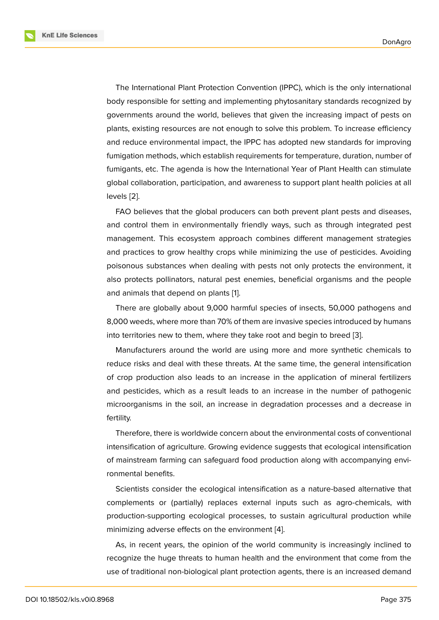The International Plant Protection Convention (IPPC), which is the only international body responsible for setting and implementing phytosanitary standards recognized by governments around the world, believes that given the increasing impact of pests on plants, existing resources are not enough to solve this problem. To increase efficiency and reduce environmental impact, the IPPC has adopted new standards for improving fumigation methods, which establish requirements for temperature, duration, number of fumigants, etc. The agenda is how the International Year of Plant Health can stimulate global collaboration, participation, and awareness to support plant health policies at all levels [2].

FAO believes that the global producers can both prevent plant pests and diseases, and control them in environmentally friendly ways, such as through integrated pest manag[em](#page-8-0)ent. This ecosystem approach combines different management strategies and practices to grow healthy crops while minimizing the use of pesticides. Avoiding poisonous substances when dealing with pests not only protects the environment, it also protects pollinators, natural pest enemies, beneficial organisms and the people and animals that depend on plants [1].

There are globally about 9,000 harmful species of insects, 50,000 pathogens and 8,000 weeds, where more than 70% of them are invasive species introduced by humans into territories new to them, where t[h](#page-8-1)ey take root and begin to breed [3].

Manufacturers around the world are using more and more synthetic chemicals to reduce risks and deal with these threats. At the same time, the general intensification of crop production also leads to an increase in the application of [min](#page-8-2)eral fertilizers and pesticides, which as a result leads to an increase in the number of pathogenic microorganisms in the soil, an increase in degradation processes and a decrease in fertility.

Therefore, there is worldwide concern about the environmental costs of conventional intensification of agriculture. Growing evidence suggests that ecological intensification of mainstream farming can safeguard food production along with accompanying environmental benefits.

Scientists consider the ecological intensification as a nature-based alternative that complements or (partially) replaces external inputs such as agro-chemicals, with production-supporting ecological processes, to sustain agricultural production while minimizing adverse effects on the environment [4].

As, in recent years, the opinion of the world community is increasingly inclined to recognize the huge threats to human health and the environment that come from the use of traditional non-biological plant protection [a](#page-8-3)gents, there is an increased demand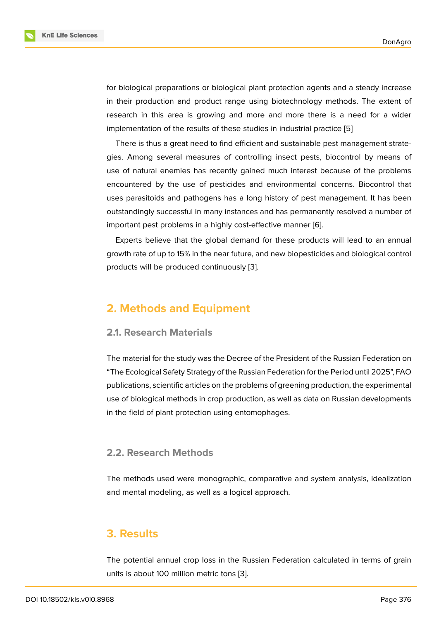for biological preparations or biological plant protection agents and a steady increase in their production and product range using biotechnology methods. The extent of research in this area is growing and more and more there is a need for a wider implementation of the results of these studies in industrial practice [5]

There is thus a great need to find efficient and sustainable pest management strategies. Among several measures of controlling insect pests, biocontrol by means of use of natural enemies has recently gained much interest becaus[e](#page-8-4) of the problems encountered by the use of pesticides and environmental concerns. Biocontrol that uses parasitoids and pathogens has a long history of pest management. It has been outstandingly successful in many instances and has permanently resolved a number of important pest problems in a highly cost-effective manner [6].

Experts believe that the global demand for these products will lead to an annual growth rate of up to 15% in the near future, and new biopesticides and biological control products will be produced continuously [3].

# **2. Methods and Equipment**

#### **2.1. Research Materials**

The material for the study was the Decree of the President of the Russian Federation on "The Ecological Safety Strategy of the Russian Federation for the Period until 2025", FAO publications, scientific articles on the problems of greening production, the experimental use of biological methods in crop production, as well as data on Russian developments in the field of plant protection using entomophages.

### **2.2. Research Methods**

The methods used were monographic, comparative and system analysis, idealization and mental modeling, as well as a logical approach.

# **3. Results**

The potential annual crop loss in the Russian Federation calculated in terms of grain units is about 100 million metric tons [3].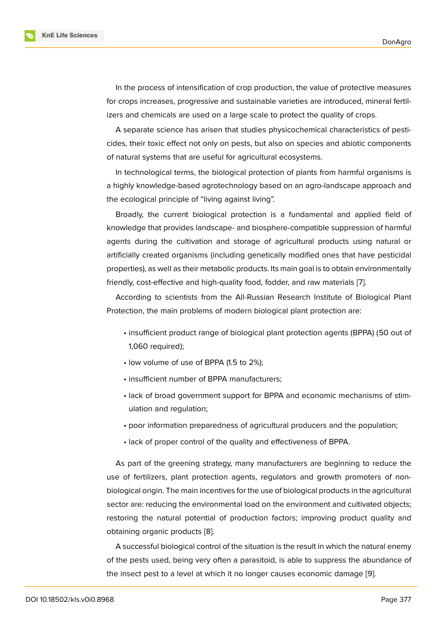In the process of intensification of crop production, the value of protective measures for crops increases, progressive and sustainable varieties are introduced, mineral fertilizers and chemicals are used on a large scale to protect the quality of crops.

A separate science has arisen that studies physicochemical characteristics of pesticides, their toxic effect not only on pests, but also on species and abiotic components of natural systems that are useful for agricultural ecosystems.

In technological terms, the biological protection of plants from harmful organisms is a highly knowledge-based agrotechnology based on an agro-landscape approach and the ecological principle of "living against living".

Broadly, the current biological protection is a fundamental and applied field of knowledge that provides landscape- and biosphere-compatible suppression of harmful agents during the cultivation and storage of agricultural products using natural or artificially created organisms (including genetically modified ones that have pesticidal properties), as well as their metabolic products. Its main goal is to obtain environmentally friendly, cost-effective and high-quality food, fodder, and raw materials [7].

According to scientists from the All-Russian Research Institute of Biological Plant Protection, the main problems of modern biological plant protection are:

- insufficient product range of biological plant protection agents (BPPA) (50 out of 1,060 required);
- low volume of use of BPPA (1.5 to 2%);
- insufficient number of BPPA manufacturers;
- lack of broad government support for BPPA and economic mechanisms of stimulation and regulation;
- poor information preparedness of agricultural producers and the population;
- lack of proper control of the quality and effectiveness of BPPA.

As part of the greening strategy, many manufacturers are beginning to reduce the use of fertilizers, plant protection agents, regulators and growth promoters of nonbiological origin. The main incentives for the use of biological products in the agricultural sector are: reducing the environmental load on the environment and cultivated objects; restoring the natural potential of production factors; improving product quality and obtaining organic products [8].

A successful biological control of the situation is the result in which the natural enemy of the pests used, being very often a parasitoid, is able to suppress the abundance of the insect pest to a level at [wh](#page-8-5)ich it no longer causes economic damage [9].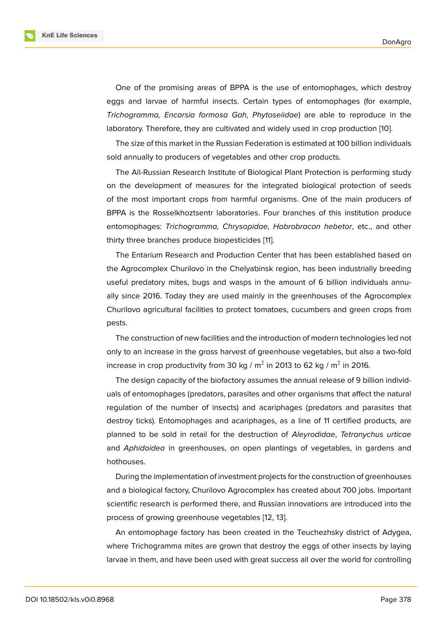One of the promising areas of BPPA is the use of entomophages, which destroy eggs and larvae of harmful insects. Certain types of entomophages (for example, *Trichogramma, Encarsia formosa Gah, Phytoseiidae*) are able to reproduce in the laboratory. Therefore, they are cultivated and widely used in crop production [10].

The size of this market in the Russian Federation is estimated at 100 billion individuals sold annually to producers of vegetables and other crop products.

The All-Russian Research Institute of Biological Plant Protection is performi[ng](#page-9-0) study on the development of measures for the integrated biological protection of seeds of the most important crops from harmful organisms. One of the main producers of BPPA is the Rosselkhoztsentr laboratories. Four branches of this institution produce entomophages: *Trichogramma, Chrysopidae, Habrobracon hebetor*, etc., and other thirty three branches produce biopesticides [11].

The Entarium Research and Production Center that has been established based on the Agrocomplex Churilovo in the Chelyabinsk region, has been industrially breeding useful predatory mites, bugs and wasps in [th](#page-9-1)e amount of 6 billion individuals annually since 2016. Today they are used mainly in the greenhouses of the Agrocomplex Churilovo agricultural facilities to protect tomatoes, cucumbers and green crops from pests.

The construction of new facilities and the introduction of modern technologies led not only to an increase in the gross harvest of greenhouse vegetables, but also a two-fold increase in crop productivity from 30 kg / m<sup>2</sup> in 2013 to 62 kg / m<sup>2</sup> in 2016.

The design capacity of the biofactory assumes the annual release of 9 billion individuals of entomophages (predators, parasites and other organisms that affect the natural regulation of the number of insects) and acariphages (predators and parasites that destroy ticks). Entomophages and acariphages, as a line of 11 certified products, are planned to be sold in retail for the destruction of *Aleyrodidae*, *Tetranychus urticae* and *Aphidoidea* in greenhouses, on open plantings of vegetables, in gardens and hothouses.

During the implementation of investment projects for the construction of greenhouses and a biological factory, Churilovo Agrocomplex has created about 700 jobs. Important scientific research is performed there, and Russian innovations are introduced into the process of growing greenhouse vegetables [12, 13].

An entomophage factory has been created in the Teuchezhsky district of Adygea, where Trichogramma mites are grown that destroy the eggs of other insects by laying larvae in them, and have been used with gre[at s](#page-9-2)[ucc](#page-9-3)ess all over the world for controlling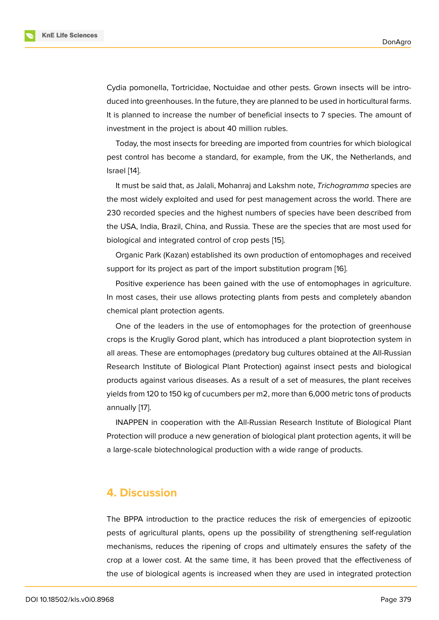Cydia pomonella, Tortricidae, Noctuidae and other pests. Grown insects will be introduced into greenhouses. In the future, they are planned to be used in horticultural farms. It is planned to increase the number of beneficial insects to 7 species. The amount of investment in the project is about 40 million rubles.

Today, the most insects for breeding are imported from countries for which biological pest control has become a standard, for example, from the UK, the Netherlands, and Israel [14].

It must be said that, as Jalali, Mohanraj and Lakshm note, *Trichogramma* species are the most widely exploited and used for pest management across the world. There are 230 r[eco](#page-9-4)rded species and the highest numbers of species have been described from the USA, India, Brazil, China, and Russia. These are the species that are most used for biological and integrated control of crop pests [15].

Organic Park (Kazan) established its own production of entomophages and received support for its project as part of the import substitution program [16].

Positive experience has been gained with t[he](#page-9-5) use of entomophages in agriculture. In most cases, their use allows protecting plants from pests and [co](#page-9-6)mpletely abandon chemical plant protection agents.

One of the leaders in the use of entomophages for the protection of greenhouse crops is the Krugliy Gorod plant, which has introduced a plant bioprotection system in all areas. These are entomophages (predatory bug cultures obtained at the All-Russian Research Institute of Biological Plant Protection) against insect pests and biological products against various diseases. As a result of a set of measures, the plant receives yields from 120 to 150 kg of cucumbers per m2, more than 6,000 metric tons of products annually [17].

INAPPEN in cooperation with the All-Russian Research Institute of Biological Plant Protection will produce a new generation of biological plant protection agents, it will be a large-s[cal](#page-9-7)e biotechnological production with a wide range of products.

### **4. Discussion**

The BPPA introduction to the practice reduces the risk of emergencies of epizootic pests of agricultural plants, opens up the possibility of strengthening self-regulation mechanisms, reduces the ripening of crops and ultimately ensures the safety of the crop at a lower cost. At the same time, it has been proved that the effectiveness of the use of biological agents is increased when they are used in integrated protection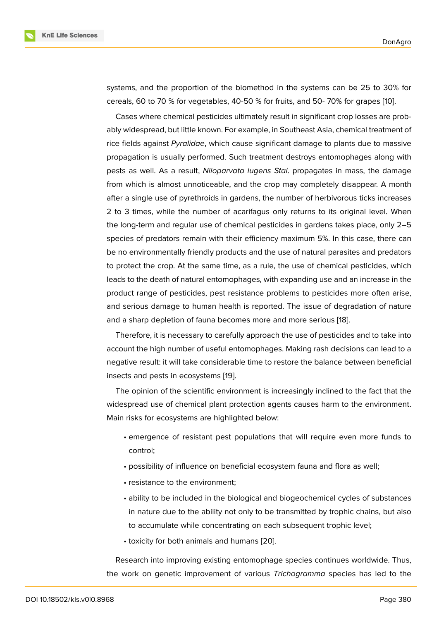systems, and the proportion of the biomethod in the systems can be 25 to 30% for cereals, 60 to 70 % for vegetables, 40-50 % for fruits, and 50- 70% for grapes [10].

Cases where chemical pesticides ultimately result in significant crop losses are probably widespread, but little known. For example, in Southeast Asia, chemical treatment of rice fields against *Pyralidae*, which cause significant damage to plants due to [ma](#page-9-0)ssive propagation is usually performed. Such treatment destroys entomophages along with pests as well. As a result, *Niloparvata lugens Stal*. propagates in mass, the damage from which is almost unnoticeable, and the crop may completely disappear. A month after a single use of pyrethroids in gardens, the number of herbivorous ticks increases 2 to 3 times, while the number of acarifagus only returns to its original level. When the long-term and regular use of chemical pesticides in gardens takes place, only 2–5 species of predators remain with their efficiency maximum 5%. In this case, there can be no environmentally friendly products and the use of natural parasites and predators to protect the crop. At the same time, as a rule, the use of chemical pesticides, which leads to the death of natural entomophages, with expanding use and an increase in the product range of pesticides, pest resistance problems to pesticides more often arise, and serious damage to human health is reported. The issue of degradation of nature and a sharp depletion of fauna becomes more and more serious [18].

Therefore, it is necessary to carefully approach the use of pesticides and to take into account the high number of useful entomophages. Making rash decisions can lead to a negative result: it will take considerable time to restore the balanc[e b](#page-9-8)etween beneficial insects and pests in ecosystems [19].

The opinion of the scientific environment is increasingly inclined to the fact that the widespread use of chemical plant protection agents causes harm to the environment. Main risks for ecosystems are hig[hlig](#page-9-9)hted below:

- emergence of resistant pest populations that will require even more funds to control;
- possibility of influence on beneficial ecosystem fauna and flora as well;
- resistance to the environment;
- ability to be included in the biological and biogeochemical cycles of substances in nature due to the ability not only to be transmitted by trophic chains, but also to accumulate while concentrating on each subsequent trophic level;
- toxicity for both animals and humans [20].

Research into improving existing entomophage species continues worldwide. Thus, the work on genetic improvement of vario[us](#page-9-10) *Trichogramma* species has led to the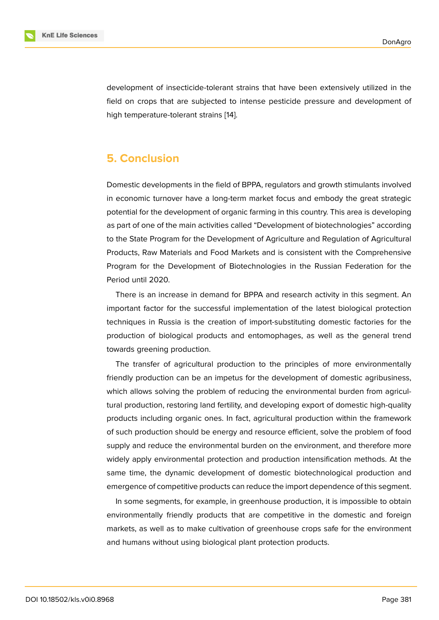development of insecticide-tolerant strains that have been extensively utilized in the field on crops that are subjected to intense pesticide pressure and development of high temperature-tolerant strains [14].

# **5. Conclusion**

Domestic developments in the field of BPPA, regulators and growth stimulants involved in economic turnover have a long-term market focus and embody the great strategic potential for the development of organic farming in this country. This area is developing as part of one of the main activities called "Development of biotechnologies" according to the State Program for the Development of Agriculture and Regulation of Agricultural Products, Raw Materials and Food Markets and is consistent with the Comprehensive Program for the Development of Biotechnologies in the Russian Federation for the Period until 2020.

There is an increase in demand for BPPA and research activity in this segment. An important factor for the successful implementation of the latest biological protection techniques in Russia is the creation of import-substituting domestic factories for the production of biological products and entomophages, as well as the general trend towards greening production.

The transfer of agricultural production to the principles of more environmentally friendly production can be an impetus for the development of domestic agribusiness, which allows solving the problem of reducing the environmental burden from agricultural production, restoring land fertility, and developing export of domestic high-quality products including organic ones. In fact, agricultural production within the framework of such production should be energy and resource efficient, solve the problem of food supply and reduce the environmental burden on the environment, and therefore more widely apply environmental protection and production intensification methods. At the same time, the dynamic development of domestic biotechnological production and emergence of competitive products can reduce the import dependence of this segment.

In some segments, for example, in greenhouse production, it is impossible to obtain environmentally friendly products that are competitive in the domestic and foreign markets, as well as to make cultivation of greenhouse crops safe for the environment and humans without using biological plant protection products.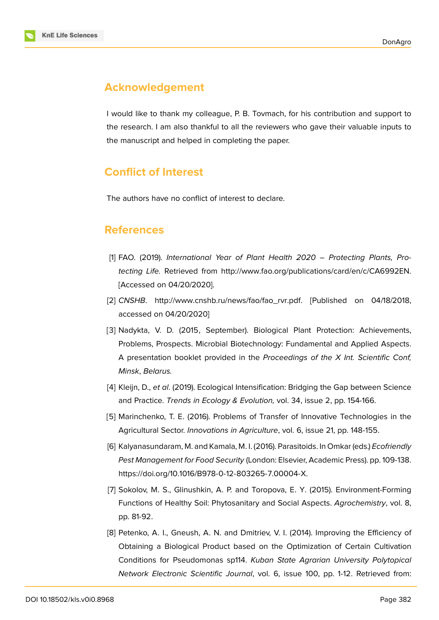# **Acknowledgement**

I would like to thank my colleague, P. B. Tovmach, for his contribution and support to the research. I am also thankful to all the reviewers who gave their valuable inputs to the manuscript and helped in completing the paper.

# **Conflict of Interest**

The authors have no conflict of interest to declare.

## **References**

- [1] FAO. (2019). *International Year of Plant Health 2020 Protecting Plants, Protecting Life.* Retrieved from http://www.fao.org/publications/card/en/c/CA6992EN. [Accessed on 04/20/2020].
- <span id="page-8-1"></span>[2] *CNSHB*. http://www.cnshb.ru/news/fao/fao\_rvr.pdf. [\[Published on 04/18/2018,](http://www.fao.org/publications/card/en/c/CA6992EN.) accessed on 04/20/2020]
- <span id="page-8-0"></span>[3] Nadykta, V. D. (2015, September). Biological Plant Protection: Achievements, Problems, [Prospects. Microbial Biotechnology: Fund](http://www.cnshb.ru/news/fao/fao_rvr.pdf.)amental and Applied Aspects. A presentation booklet provided in the *Proceedings of the X Int. Scientific Conf, Minsk*, *Belarus.*
- <span id="page-8-2"></span>[4] Kleijn, D., *et al*. (2019). Ecological Intensification: Bridging the Gap between Science and Practice. *Trends in Ecology & Evolution,* vol. 34, issue 2, pp. 154-166.
- <span id="page-8-3"></span>[5] Marinchenko, T. E. (2016). Problems of Transfer of Innovative Technologies in the Agricultural Sector. *Innovations in Agriculture*, vol. 6, issue 21, pp. 148-155.
- <span id="page-8-4"></span>[6] Kalyanasundaram, M. and Kamala, M. I. (2016). Parasitoids. In Omkar (eds.) *Ecofriendly Pest Management for Food Security* (London: Elsevier, Academic Press). pp. 109-138. https://doi.org/10.1016/B978-0-12-803265-7.00004-X.
- [7] Sokolov, M. S., Glinushkin, A. P. and Toropova, E. Y. (2015). Environment-Forming [Functions of Healthy Soil: Phytosanitary and Social A](https://doi.org/10.1016/B978-0-12-803265-7.00004-X)spects. *Agrochemistry*, vol. 8, pp. 81-92.
- <span id="page-8-5"></span>[8] Petenko, A. I., Gneush, A. N. and Dmitriev, V. I. (2014). Improving the Efficiency of Obtaining a Biological Product based on the Optimization of Certain Cultivation Conditions for Pseudomonas sp114. *Kuban State Agrarian University Polytopical Network Electronic Scientific Journal*, vol. 6, issue 100, pp. 1-12. Retrieved from: